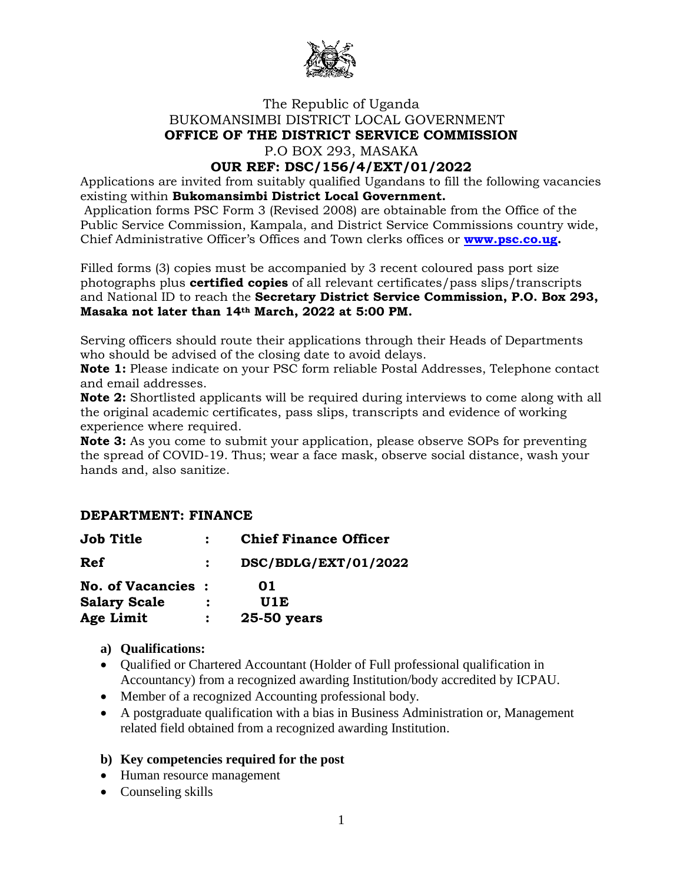

# The Republic of Uganda BUKOMANSIMBI DISTRICT LOCAL GOVERNMENT **OFFICE OF THE DISTRICT SERVICE COMMISSION** P.O BOX 293, MASAKA

# **OUR REF: DSC/156/4/EXT/01/2022**

Applications are invited from suitably qualified Ugandans to fill the following vacancies existing within **Bukomansimbi District Local Government.**

Application forms PSC Form 3 (Revised 2008) are obtainable from the Office of the Public Service Commission, Kampala, and District Service Commissions country wide, Chief Administrative Officer's Offices and Town clerks offices or **[www.psc.co.ug.](http://www.psc.co.ug/)**

Filled forms (3) copies must be accompanied by 3 recent coloured pass port size photographs plus **certified copies** of all relevant certificates/pass slips/transcripts and National ID to reach the **Secretary District Service Commission, P.O. Box 293, Masaka not later than 14th March, 2022 at 5:00 PM.**

Serving officers should route their applications through their Heads of Departments who should be advised of the closing date to avoid delays.

**Note 1:** Please indicate on your PSC form reliable Postal Addresses, Telephone contact and email addresses.

**Note 2:** Shortlisted applicants will be required during interviews to come along with all the original academic certificates, pass slips, transcripts and evidence of working experience where required.

**Note 3:** As you come to submit your application, please observe SOPs for preventing the spread of COVID-19. Thus; wear a face mask, observe social distance, wash your hands and, also sanitize.

# **DEPARTMENT: FINANCE**

| <b>Job Title</b>         | <b>Chief Finance Officer</b> |
|--------------------------|------------------------------|
| Ref                      | DSC/BDLG/EXT/01/2022         |
| <b>No. of Vacancies:</b> | 01                           |
| <b>Salary Scale</b>      | U1E                          |
| Age Limit                | 25-50 years                  |

- **a) Qualifications:**
- Oualified or Chartered Accountant (Holder of Full professional qualification in Accountancy) from a recognized awarding Institution/body accredited by ICPAU.
- Member of a recognized Accounting professional body.
- A postgraduate qualification with a bias in Business Administration or, Management related field obtained from a recognized awarding Institution.

#### **b) Key competencies required for the post**

- Human resource management
- Counseling skills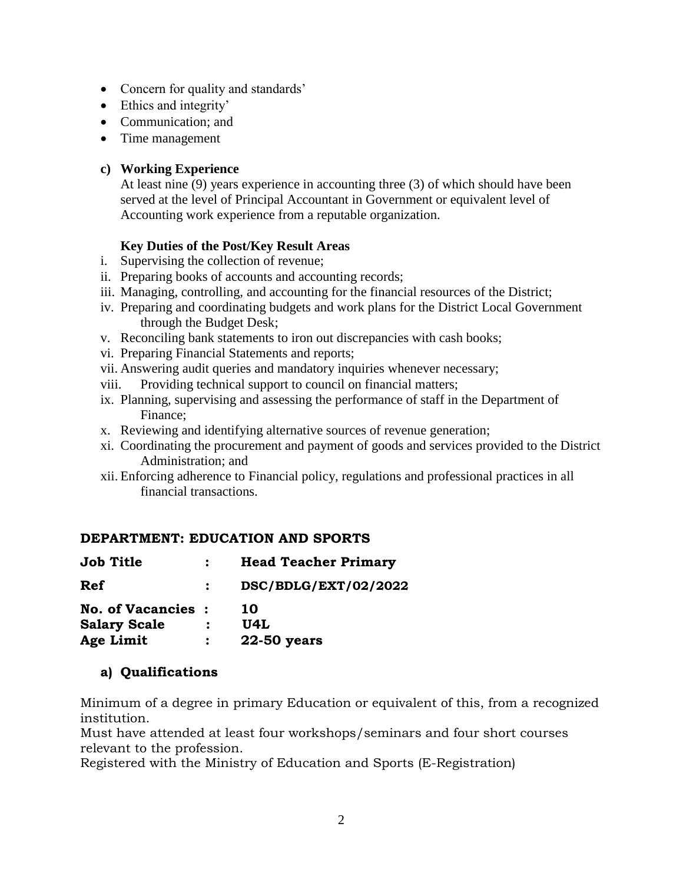- Concern for quality and standards'
- Ethics and integrity'
- Communication; and
- Time management

# **c) Working Experience**

At least nine (9) years experience in accounting three (3) of which should have been served at the level of Principal Accountant in Government or equivalent level of Accounting work experience from a reputable organization.

# **Key Duties of the Post/Key Result Areas**

- i. Supervising the collection of revenue;
- ii. Preparing books of accounts and accounting records;
- iii. Managing, controlling, and accounting for the financial resources of the District;
- iv. Preparing and coordinating budgets and work plans for the District Local Government through the Budget Desk;
- v. Reconciling bank statements to iron out discrepancies with cash books;
- vi. Preparing Financial Statements and reports;
- vii. Answering audit queries and mandatory inquiries whenever necessary;
- viii. Providing technical support to council on financial matters;
- ix. Planning, supervising and assessing the performance of staff in the Department of Finance;
- x. Reviewing and identifying alternative sources of revenue generation;
- xi. Coordinating the procurement and payment of goods and services provided to the District Administration; and
- xii. Enforcing adherence to Financial policy, regulations and professional practices in all financial transactions.

# **DEPARTMENT: EDUCATION AND SPORTS**

| <b>Job Title</b>         | <b>Head Teacher Primary</b> |
|--------------------------|-----------------------------|
| Ref                      | DSC/BDLG/EXT/02/2022        |
| <b>No. of Vacancies:</b> | 10                          |
| <b>Salary Scale</b>      | U4L                         |
| Age Limit                | 22-50 years                 |

# **a) Qualifications**

Minimum of a degree in primary Education or equivalent of this, from a recognized institution.

Must have attended at least four workshops/seminars and four short courses relevant to the profession.

Registered with the Ministry of Education and Sports (E-Registration)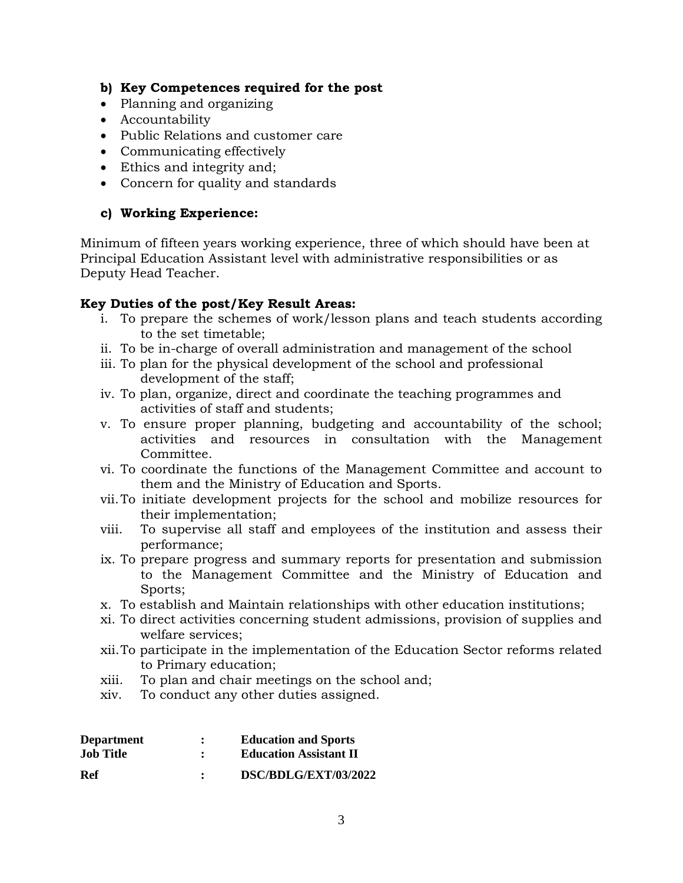# **b) Key Competences required for the post**

- Planning and organizing
- Accountability
- Public Relations and customer care
- Communicating effectively
- Ethics and integrity and;
- Concern for quality and standards

## **c) Working Experience:**

Minimum of fifteen years working experience, three of which should have been at Principal Education Assistant level with administrative responsibilities or as Deputy Head Teacher.

### **Key Duties of the post/Key Result Areas:**

- i. To prepare the schemes of work/lesson plans and teach students according to the set timetable;
- ii. To be in-charge of overall administration and management of the school
- iii. To plan for the physical development of the school and professional development of the staff;
- iv. To plan, organize, direct and coordinate the teaching programmes and activities of staff and students;
- v. To ensure proper planning, budgeting and accountability of the school; activities and resources in consultation with the Management Committee.
- vi. To coordinate the functions of the Management Committee and account to them and the Ministry of Education and Sports.
- vii.To initiate development projects for the school and mobilize resources for their implementation;
- viii. To supervise all staff and employees of the institution and assess their performance;
- ix. To prepare progress and summary reports for presentation and submission to the Management Committee and the Ministry of Education and Sports;
- x. To establish and Maintain relationships with other education institutions;
- xi. To direct activities concerning student admissions, provision of supplies and welfare services;
- xii.To participate in the implementation of the Education Sector reforms related to Primary education;
- xiii. To plan and chair meetings on the school and;
- xiv. To conduct any other duties assigned.

| <b>Department</b><br><b>Job Title</b> | $\ddot{\phantom{0}}$ | <b>Education and Sports</b><br><b>Education Assistant II</b> |
|---------------------------------------|----------------------|--------------------------------------------------------------|
| Ref                                   | $\mathbf{r}$         | DSC/BDLG/EXT/03/2022                                         |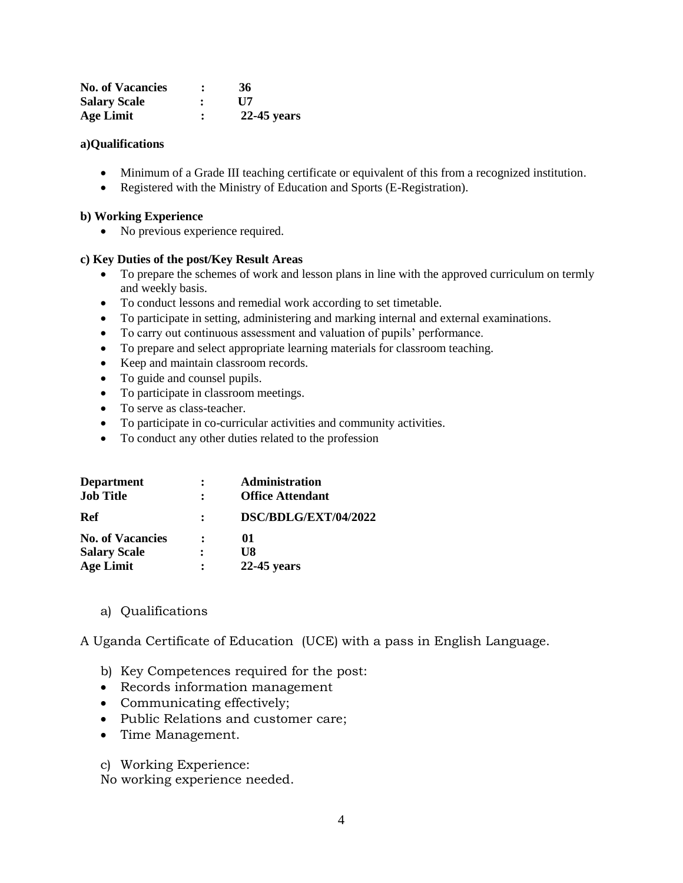| <b>No. of Vacancies</b> |              | 36            |
|-------------------------|--------------|---------------|
| <b>Salary Scale</b>     | $\mathbf{r}$ | $\bf H7$      |
| <b>Age Limit</b>        |              | $22-45$ years |

#### **a)Qualifications**

- Minimum of a Grade III teaching certificate or equivalent of this from a recognized institution.
- Registered with the Ministry of Education and Sports (E-Registration).

#### **b) Working Experience**

• No previous experience required.

#### **c) Key Duties of the post/Key Result Areas**

- To prepare the schemes of work and lesson plans in line with the approved curriculum on termly and weekly basis.
- To conduct lessons and remedial work according to set timetable.
- To participate in setting, administering and marking internal and external examinations.
- To carry out continuous assessment and valuation of pupils' performance.
- To prepare and select appropriate learning materials for classroom teaching.
- Keep and maintain classroom records.
- To guide and counsel pupils.
- To participate in classroom meetings.
- To serve as class-teacher.
- To participate in co-curricular activities and community activities.
- To conduct any other duties related to the profession

| <b>Department</b>       |                | <b>Administration</b>   |
|-------------------------|----------------|-------------------------|
| <b>Job Title</b>        |                | <b>Office Attendant</b> |
| Ref                     |                | DSC/BDLG/EXT/04/2022    |
| <b>No. of Vacancies</b> | $\ddot{\cdot}$ | 01                      |
| <b>Salary Scale</b>     |                | U8                      |
| <b>Age Limit</b>        |                | $22-45$ years           |

a) Qualifications

A Uganda Certificate of Education (UCE) with a pass in English Language.

- b) Key Competences required for the post:
- Records information management
- Communicating effectively;
- Public Relations and customer care;
- Time Management.
- c) Working Experience:

No working experience needed.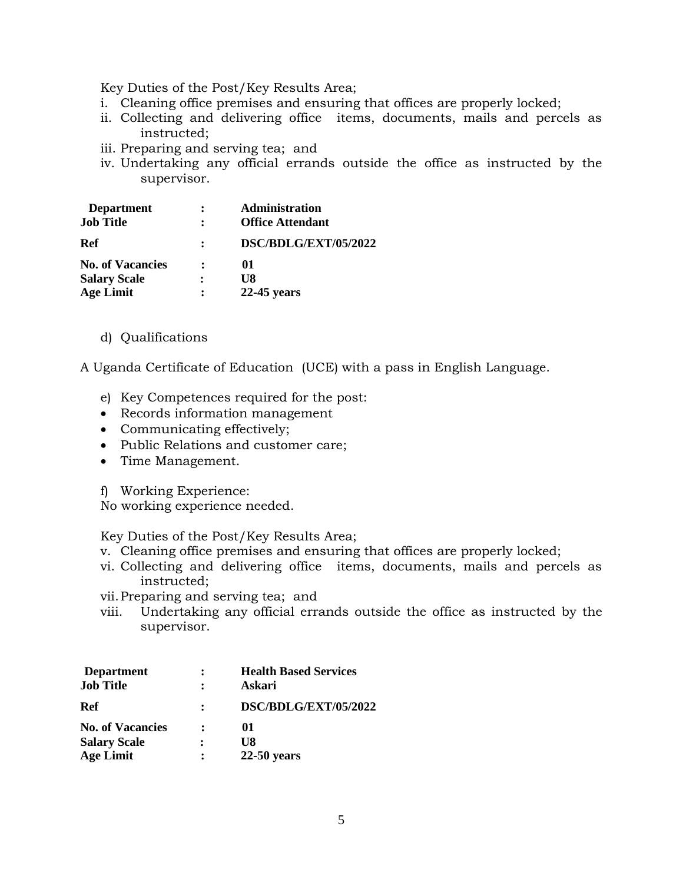Key Duties of the Post/Key Results Area;

- i. Cleaning office premises and ensuring that offices are properly locked;
- ii. Collecting and delivering office items, documents, mails and percels as instructed;
- iii. Preparing and serving tea; and
- iv. Undertaking any official errands outside the office as instructed by the supervisor.

| <b>Department</b>       | Administration          |
|-------------------------|-------------------------|
| <b>Job Title</b>        | <b>Office Attendant</b> |
| Ref                     | DSC/BDLG/EXT/05/2022    |
| <b>No. of Vacancies</b> | 01                      |
| <b>Salary Scale</b>     | U8                      |
| <b>Age Limit</b>        | $22-45$ years           |

d) Qualifications

A Uganda Certificate of Education (UCE) with a pass in English Language.

- e) Key Competences required for the post:
- Records information management
- Communicating effectively;
- Public Relations and customer care;
- Time Management.
- f) Working Experience:

No working experience needed.

Key Duties of the Post/Key Results Area;

- v. Cleaning office premises and ensuring that offices are properly locked;
- vi. Collecting and delivering office items, documents, mails and percels as instructed;
- vii.Preparing and serving tea; and
- viii. Undertaking any official errands outside the office as instructed by the supervisor.

| <b>Department</b>       | <b>Health Based Services</b> |
|-------------------------|------------------------------|
| <b>Job Title</b>        | Askari                       |
| Ref                     | DSC/BDLG/EXT/05/2022         |
| <b>No. of Vacancies</b> | 01                           |
| <b>Salary Scale</b>     | U8                           |
| <b>Age Limit</b>        | $22-50$ years                |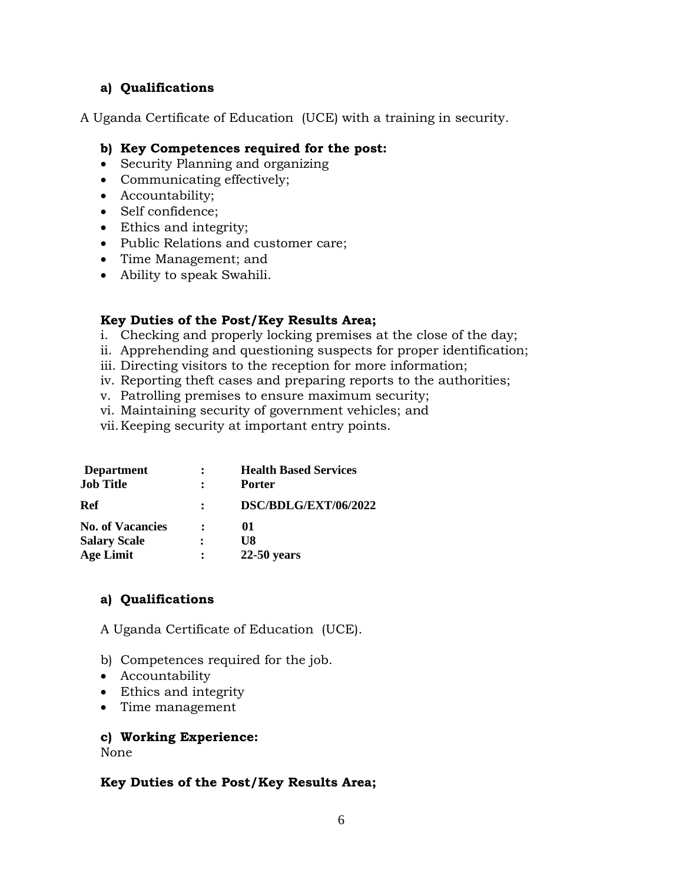# **a) Qualifications**

A Uganda Certificate of Education (UCE) with a training in security.

### **b) Key Competences required for the post:**

- Security Planning and organizing
- Communicating effectively;
- Accountability;
- Self confidence;
- Ethics and integrity;
- Public Relations and customer care;
- Time Management; and
- Ability to speak Swahili.

### **Key Duties of the Post/Key Results Area;**

- i. Checking and properly locking premises at the close of the day;
- ii. Apprehending and questioning suspects for proper identification;
- iii. Directing visitors to the reception for more information;
- iv. Reporting theft cases and preparing reports to the authorities;
- v. Patrolling premises to ensure maximum security;
- vi. Maintaining security of government vehicles; and
- vii.Keeping security at important entry points.

| <b>Department</b><br><b>Job Title</b> |              | <b>Health Based Services</b><br><b>Porter</b> |
|---------------------------------------|--------------|-----------------------------------------------|
| Ref                                   | $\mathbf{r}$ | DSC/BDLG/EXT/06/2022                          |
| <b>No. of Vacancies</b>               |              | 01                                            |
| <b>Salary Scale</b>                   |              | U8                                            |
| <b>Age Limit</b>                      |              | $22-50$ years                                 |
|                                       |              |                                               |

# **a) Qualifications**

A Uganda Certificate of Education (UCE).

- b) Competences required for the job.
- Accountability
- Ethics and integrity
- Time management

# **c) Working Experience:**

None

#### **Key Duties of the Post/Key Results Area;**